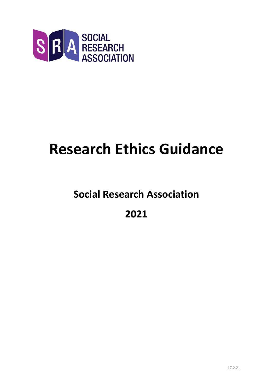

# **Research Ethics Guidance**

## **Social Research Association**

**2021**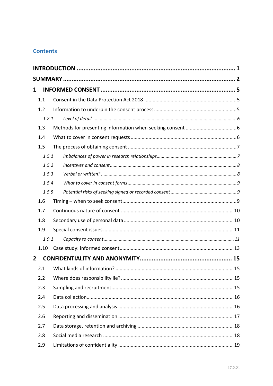### **Contents**

| 1              |       |  |    |  |  |  |  |  |
|----------------|-------|--|----|--|--|--|--|--|
|                | 1.1   |  |    |  |  |  |  |  |
|                | 1.2   |  |    |  |  |  |  |  |
|                | 1.2.1 |  |    |  |  |  |  |  |
|                | 1.3   |  |    |  |  |  |  |  |
| 1.4            |       |  |    |  |  |  |  |  |
|                | 1.5   |  |    |  |  |  |  |  |
|                | 1.5.1 |  |    |  |  |  |  |  |
| 1.5.2<br>1.5.3 |       |  |    |  |  |  |  |  |
|                |       |  |    |  |  |  |  |  |
| 1.5.4          |       |  |    |  |  |  |  |  |
| 1.5.5          |       |  |    |  |  |  |  |  |
|                | 1.6   |  |    |  |  |  |  |  |
|                | 1.7   |  |    |  |  |  |  |  |
|                | 1.8   |  |    |  |  |  |  |  |
| 1.9            |       |  |    |  |  |  |  |  |
| 1.9.1          |       |  |    |  |  |  |  |  |
| 1.10           |       |  |    |  |  |  |  |  |
| 2              |       |  |    |  |  |  |  |  |
| 2.1            |       |  | 15 |  |  |  |  |  |
|                | 2.2   |  |    |  |  |  |  |  |
|                | 2.3   |  |    |  |  |  |  |  |
|                | 2.4   |  |    |  |  |  |  |  |
|                | 2.5   |  |    |  |  |  |  |  |
|                | 2.6   |  |    |  |  |  |  |  |
|                | 2.7   |  |    |  |  |  |  |  |
|                | 2.8   |  |    |  |  |  |  |  |
|                | 2.9   |  |    |  |  |  |  |  |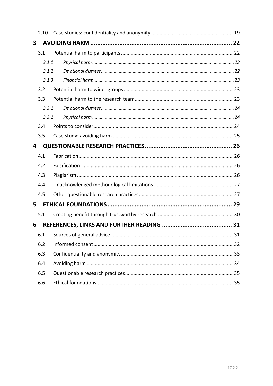|   | 2.10  |  |  |  |  |  |
|---|-------|--|--|--|--|--|
| 3 |       |  |  |  |  |  |
|   | 3.1   |  |  |  |  |  |
|   | 3.1.1 |  |  |  |  |  |
|   | 3.1.2 |  |  |  |  |  |
|   | 3.1.3 |  |  |  |  |  |
|   | 3.2   |  |  |  |  |  |
|   | 3.3   |  |  |  |  |  |
|   | 3.3.1 |  |  |  |  |  |
|   | 3.3.2 |  |  |  |  |  |
|   | 3.4   |  |  |  |  |  |
|   | 3.5   |  |  |  |  |  |
| 4 |       |  |  |  |  |  |
|   | 4.1   |  |  |  |  |  |
|   | 4.2   |  |  |  |  |  |
|   | 4.3   |  |  |  |  |  |
|   | 4.4   |  |  |  |  |  |
|   | 4.5   |  |  |  |  |  |
| 5 |       |  |  |  |  |  |
|   | 5.1   |  |  |  |  |  |
| 6 |       |  |  |  |  |  |
|   |       |  |  |  |  |  |
|   | 6.2   |  |  |  |  |  |
|   | 6.3   |  |  |  |  |  |
|   | 6.4   |  |  |  |  |  |
|   | 6.5   |  |  |  |  |  |
|   | 6.6   |  |  |  |  |  |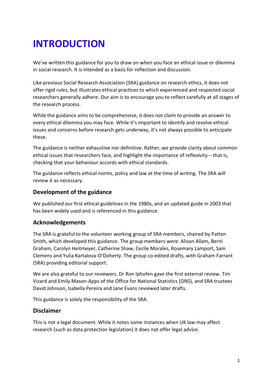## <span id="page-3-0"></span>**INTRODUCTION**

We've written this guidance for you to draw on when you face an ethical issue or dilemma in social research. It is intended as a basis for reflection and discussion.

Like previous Social Research Association (SRA) guidance on research ethics, it does not offer rigid rules, but illustrates ethical practices to which experienced and respected social researchers generally adhere. Our aim is to encourage you to reflect carefully at all stages of the research process.

While the guidance aims to be comprehensive, it does not claim to provide an answer to every ethical dilemma you may face. While it's important to identify and resolve ethical issues and concerns before research gets underway, it's not always possible to anticipate these.

The guidance is neither exhaustive nor definitive. Rather, we provide clarity about common ethical issues that researchers face, and highlight the importance of reflexivity – that is, checking that your behaviour accords with ethical standards.

The guidance reflects ethical norms, policy and law at the time of writing. The SRA will review it as necessary.

#### **Development of the guidance**

We published our first ethical guidelines in the 1980s, and an updated guide in 2003 that has been widely used and is referenced in this guidance.

#### **Acknowledgements**

The SRA is grateful to the volunteer working group of SRA members, chaired by Patten Smith, which developed this guidance. The group members were: Alison Allam, Berni Graham, Carolyn Heitmeyer, Catherine Shaw, Cecile Morales, Rosemary Lamport, Sam Clemens and Yulia Kartalova-O'Doherty. The group co-edited drafts, with Graham Farrant (SRA) providing editorial support.

We are also grateful to our reviewers. Dr Ron Iphofen gave the first external review. Tim Vizard and Emily Mason-Apps of the Office for National Statistics (ONS), and SRA trustees David Johnson, Isabella Pereira and Jane Evans reviewed later drafts.

This guidance is solely the responsibility of the SRA.

#### **Disclaimer**

This is not a legal document. While it notes some instances when UK law may affect research (such as data protection legislation) it does not offer legal advice.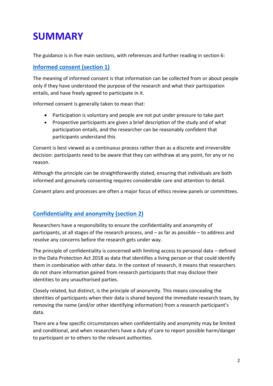## <span id="page-4-0"></span>**SUMMARY**

The guidance is in five main sections, with references and further reading in section 6:

### **[Informed consent](#page-7-0) (section 1)**

The meaning of informed consent is that information can be collected from or about people only if they have understood the purpose of the research and what their participation entails, and have freely agreed to participate in it.

Informed consent is generally taken to mean that:

- Participation is voluntary and people are not put under pressure to take part
- Prospective participants are given a brief description of the study and of what participation entails, and the researcher can be reasonably confident that participants understand this

Consent is best viewed as a continuous process rather than as a discrete and irreversible decision: participants need to be aware that they can withdraw at any point, for any or no reason.

Although the principle can be straightforwardly stated, ensuring that individuals are both informed and genuinely consenting requires considerable care and attention to detail.

Consent plans and processes are often a major focus of ethics review panels or committees.

### **[Confidentiality and anonymity](#page-16-0) (section 2)**

Researchers have a responsibility to ensure the confidentiality and anonymity of participants, at all stages of the research process, and – as far as possible – to address and resolve any concerns before the research gets under way.

The principle of confidentiality is concerned with limiting access to personal data – defined in the Data Protection Act 2018 as data that identifies a living person or that could identify them in combination with other data. In the context of research, it means that researchers do not share information gained from research participants that may disclose their identities to any unauthorised parties.

Closely related, but distinct, is the principle of anonymity. This means concealing the identities of participants when their data is shared beyond the immediate research team, by removing the name (and/or other identifying information) from a research participant's data.

There are a few specific circumstances when confidentiality and anonymity may be limited and conditional, and when researchers have a duty of care to report possible harm/danger to participant or to others to the relevant authorities.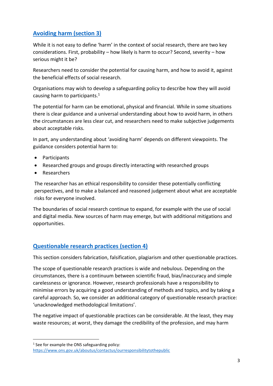## **[Avoiding harm](#page-24-0) (section 3)**

While it is not easy to define 'harm' in the context of social research, there are two key considerations. First, probability – how likely is harm to occur? Second, severity – how serious might it be?

Researchers need to consider the potential for causing harm, and how to avoid it, against the beneficial effects of social research.

Organisations may wish to develop a safeguarding policy to describe how they will avoid causing harm to participants. 1

The potential for harm can be emotional, physical and financial. While in some situations there is clear guidance and a universal understanding about how to avoid harm, in others the circumstances are less clear cut, and researchers need to make subjective judgements about acceptable risks.

In part, any understanding about 'avoiding harm' depends on different viewpoints. The guidance considers potential harm to:

- Participants
- Researched groups and groups directly interacting with researched groups
- Researchers

The researcher has an ethical responsibility to consider these potentially conflicting perspectives, and to make a balanced and reasoned judgement about what are acceptable risks for everyone involved.

The boundaries of social research continue to expand, for example with the use of social and digital media. New sources of harm may emerge, but with additional mitigations and opportunities.

#### **[Questionable research practices](#page-28-0) (section 4)**

This section considers fabrication, falsification, plagiarism and other questionable practices.

The scope of questionable research practices is wide and nebulous. Depending on the circumstances, there is a continuum between scientific fraud, bias/inaccuracy and simple carelessness or ignorance. However, research professionals have a responsibility to minimise errors by acquiring a good understanding of methods and topics, and by taking a careful approach. So, we consider an additional category of questionable research practice: 'unacknowledged methodological limitations'.

The negative impact of questionable practices can be considerable. At the least, they may waste resources; at worst, they damage the credibility of the profession, and may harm

<sup>&</sup>lt;sup>1</sup> See for example the ONS safeguarding policy: <https://www.ons.gov.uk/aboutus/contactus/ourresponsibilitytothepublic>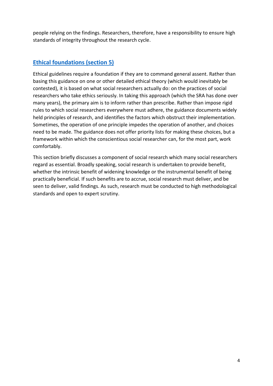people relying on the findings. Researchers, therefore, have a responsibility to ensure high standards of integrity throughout the research cycle.

### **[Ethical foundations](#page-30-0) (section 5)**

Ethical guidelines require a foundation if they are to command general assent. Rather than basing this guidance on one or other detailed ethical theory (which would inevitably be contested), it is based on what social researchers actually do: on the practices of social researchers who take ethics seriously. In taking this approach (which the SRA has done over many years), the primary aim is to inform rather than prescribe. Rather than impose rigid rules to which social researchers everywhere must adhere, the guidance documents widely held principles of research, and identifies the factors which obstruct their implementation. Sometimes, the operation of one principle impedes the operation of another, and choices need to be made. The guidance does not offer priority lists for making these choices, but a framework within which the conscientious social researcher can, for the most part, work comfortably.

This section briefly discusses a component of social research which many social researchers regard as essential. Broadly speaking, social research is undertaken to provide benefit, whether the intrinsic benefit of widening knowledge or the instrumental benefit of being practically beneficial. If such benefits are to accrue, social research must deliver, and be seen to deliver, valid findings. As such, research must be conducted to high methodological standards and open to expert scrutiny.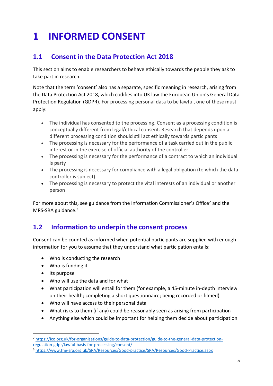## <span id="page-7-0"></span>**1 INFORMED CONSENT**

## <span id="page-7-1"></span>**1.1 Consent in the Data Protection Act 2018**

This section aims to enable researchers to behave ethically towards the people they ask to take part in research.

Note that the term 'consent' also has a separate, specific meaning in research, arising from the Data Protection Act 2018, which codifies into UK law the European Union's General Data Protection Regulation (GDPR). For processing personal data to be lawful, one of these must apply:

- The individual has consented to the processing. Consent as a processing condition is conceptually different from legal/ethical consent. Research that depends upon a different processing condition should still act ethically towards participants
- The processing is necessary for the performance of a task carried out in the public interest or in the exercise of official authority of the controller
- The processing is necessary for the performance of a contract to which an individual is party
- The processing is necessary for compliance with a legal obligation (to which the data controller is subject)
- The processing is necessary to protect the vital interests of an individual or another person

For more about this, see guidance from the Information Commissioner's Office<sup>2</sup> and the MRS-SRA guidance. 3

## <span id="page-7-2"></span>**1.2 Information to underpin the consent process**

Consent can be counted as informed when potential participants are supplied with enough information for you to assume that they understand what participation entails:

- Who is conducting the research
- Who is funding it
- Its purpose
- Who will use the data and for what
- What participation will entail for them (for example, a 45-minute in-depth interview on their health; completing a short questionnaire; being recorded or filmed)
- Who will have access to their personal data
- What risks to them (if any) could be reasonably seen as arising from participation
- Anything else which could be important for helping them decide about participation

<sup>2</sup> [https://ico.org.uk/for-organisations/guide-to-data-protection/guide-to-the-general-data-protection](https://ico.org.uk/for-organisations/guide-to-data-protection/guide-to-the-general-data-protection-regulation-gdpr/lawful-basis-for-processing/consent/)[regulation-gdpr/lawful-basis-for-processing/consent/](https://ico.org.uk/for-organisations/guide-to-data-protection/guide-to-the-general-data-protection-regulation-gdpr/lawful-basis-for-processing/consent/)

<sup>3</sup> <https://www.the-sra.org.uk/SRA/Resources/Good-practice/SRA/Resources/Good-Practice.aspx>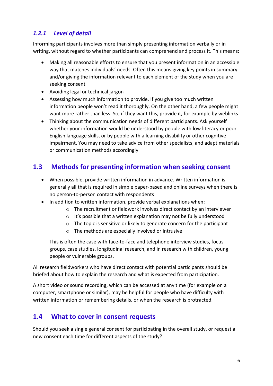## <span id="page-8-0"></span>*1.2.1 Level of detail*

Informing participants involves more than simply presenting information verbally or in writing, without regard to whether participants can comprehend and process it. This means:

- Making all reasonable efforts to ensure that you present information in an accessible way that matches individuals' needs. Often this means giving key points in summary and/or giving the information relevant to each element of the study when you are seeking consent
- Avoiding legal or technical jargon
- Assessing how much information to provide. If you give too much written information people won't read it thoroughly. On the other hand, a few people might want more rather than less. So, if they want this, provide it, for example by weblinks
- Thinking about the communication needs of different participants. Ask yourself whether your information would be understood by people with low literacy or poor English language skills, or by people with a learning disability or other cognitive impairment. You may need to take advice from other specialists, and adapt materials or communication methods accordingly

## <span id="page-8-1"></span>**1.3 Methods for presenting information when seeking consent**

- When possible, provide written information in advance. Written information is generally all that is required in simple paper-based and online surveys when there is no person-to-person contact with respondents
- In addition to written information, provide verbal explanations when:
	- o The recruitment or fieldwork involves direct contact by an interviewer
	- o It's possible that a written explanation may not be fully understood
	- o The topic is sensitive or likely to generate concern for the participant
	- o The methods are especially involved or intrusive

This is often the case with face-to-face and telephone interview studies, focus groups, case studies, longitudinal research, and in research with children, young people or vulnerable groups.

All research fieldworkers who have direct contact with potential participants should be briefed about how to explain the research and what is expected from participation.

A short video or sound recording, which can be accessed at any time (for example on a computer, smartphone or similar), may be helpful for people who have difficulty with written information or remembering details, or when the research is protracted.

## <span id="page-8-2"></span>**1.4 What to cover in consent requests**

Should you seek a single general consent for participating in the overall study, or request a new consent each time for different aspects of the study?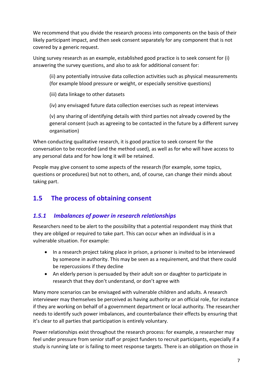We recommend that you divide the research process into components on the basis of their likely participant impact, and then seek consent separately for any component that is not covered by a generic request.

Using survey research as an example, established good practice is to seek consent for (i) answering the survey questions, and also to ask for additional consent for:

(ii) any potentially intrusive data collection activities such as physical measurements (for example blood pressure or weight, or especially sensitive questions)

(iii) data linkage to other datasets

(iv) any envisaged future data collection exercises such as repeat interviews

(v) any sharing of identifying details with third parties not already covered by the general consent (such as agreeing to be contacted in the future by a different survey organisation)

When conducting qualitative research, it is good practice to seek consent for the conversation to be recorded (and the method used), as well as for who will have access to any personal data and for how long it will be retained.

People may give consent to some aspects of the research (for example, some topics, questions or procedures) but not to others, and, of course, can change their minds about taking part.

## <span id="page-9-0"></span>**1.5 The process of obtaining consent**

## <span id="page-9-1"></span>*1.5.1 Imbalances of power in research relationships*

Researchers need to be alert to the possibility that a potential respondent may think that they are obliged or required to take part. This can occur when an individual is in a vulnerable situation. For example:

- In a research project taking place in prison, a prisoner is invited to be interviewed by someone in authority. This may be seen as a requirement, and that there could be repercussions if they decline
- An elderly person is persuaded by their adult son or daughter to participate in research that they don't understand, or don't agree with

Many more scenarios can be envisaged with vulnerable children and adults. A research interviewer may themselves be perceived as having authority or an official role, for instance if they are working on behalf of a government department or local authority. The researcher needs to identify such power imbalances, and counterbalance their effects by ensuring that it's clear to all parties that participation is entirely voluntary.

Power relationships exist throughout the research process: for example, a researcher may feel under pressure from senior staff or project funders to recruit participants, especially if a study is running late or is failing to meet response targets. There is an obligation on those in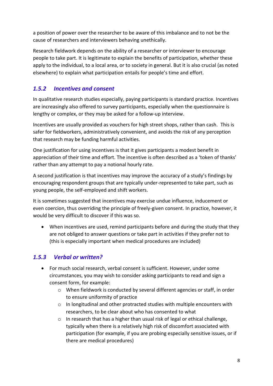a position of power over the researcher to be aware of this imbalance and to not be the cause of researchers and interviewers behaving unethically.

Research fieldwork depends on the ability of a researcher or interviewer to encourage people to take part. It is legitimate to explain the benefits of participation, whether these apply to the individual, to a local area, or to society in general. But it is also crucial (as noted elsewhere) to explain what participation entails for people's time and effort.

### <span id="page-10-0"></span>*1.5.2 Incentives and consent*

In qualitative research studies especially, paying participants is standard practice. Incentives are increasingly also offered to survey participants, especially when the questionnaire is lengthy or complex, or they may be asked for a follow-up interview.

Incentives are usually provided as vouchers for high street shops, rather than cash. This is safer for fieldworkers, administratively convenient, and avoids the risk of any perception that research may be funding harmful activities.

One justification for using incentives is that it gives participants a modest benefit in appreciation of their time and effort. The incentive is often described as a 'token of thanks' rather than any attempt to pay a notional hourly rate.

A second justification is that incentives may improve the accuracy of a study's findings by encouraging respondent groups that are typically under-represented to take part, such as young people, the self-employed and shift workers.

It is sometimes suggested that incentives may exercise undue influence, inducement or even coercion, thus overriding the principle of freely-given consent. In practice, however, it would be very difficult to discover if this was so.

• When incentives are used, remind participants before and during the study that they are not obliged to answer questions or take part in activities if they prefer not to (this is especially important when medical procedures are included)

### <span id="page-10-1"></span>*1.5.3 Verbal or written?*

- For much social research, verbal consent is sufficient. However, under some circumstances, you may wish to consider asking participants to read and sign a consent form, for example:
	- o When fieldwork is conducted by several different agencies or staff, in order to ensure uniformity of practice
	- $\circ$  In longitudinal and other protracted studies with multiple encounters with researchers, to be clear about who has consented to what
	- o In research that has a higher than usual risk of legal or ethical challenge, typically when there is a relatively high risk of discomfort associated with participation (for example, if you are probing especially sensitive issues, or if there are medical procedures)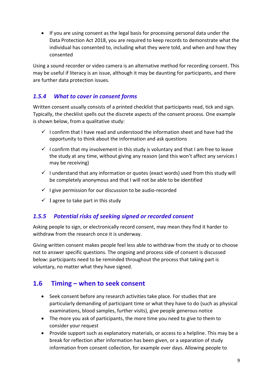• If you are using consent as the legal basis for processing personal data under the Data Protection Act 2018, you are required to keep records to demonstrate what the individual has consented to, including what they were told, and when and how they consented

Using a sound recorder or video camera is an alternative method for recording consent. This may be useful if literacy is an issue, although it may be daunting for participants, and there are further data protection issues.

### <span id="page-11-0"></span>*1.5.4 What to cover in consent forms*

Written consent usually consists of a printed checklist that participants read, tick and sign. Typically, the checklist spells out the discrete aspects of the consent process. One example is shown below, from a qualitative study:

- $\checkmark$  I confirm that I have read and understood the information sheet and have had the opportunity to think about the information and ask questions
- $\checkmark$  I confirm that my involvement in this study is voluntary and that I am free to leave the study at any time, without giving any reason (and this won't affect any services I may be receiving)
- $\checkmark$  I understand that any information or quotes (exact words) used from this study will be completely anonymous and that I will not be able to be identified
- $\checkmark$  I give permission for our discussion to be audio-recorded
- $\checkmark$  I agree to take part in this study

#### <span id="page-11-1"></span>*1.5.5 Potential risks of seeking signed or recorded consent*

Asking people to sign, or electronically record consent, may mean they find it harder to withdraw from the research once it is underway.

Giving written consent makes people feel less able to withdraw from the study or to choose not to answer specific questions. The ongoing and process side of consent is discussed below: participants need to be reminded throughout the process that taking part is voluntary, no matter what they have signed.

## <span id="page-11-2"></span>**1.6 Timing – when to seek consent**

- Seek consent before any research activities take place. For studies that are particularly demanding of participant time or what they have to do (such as physical examinations, blood samples, further visits), give people generous notice
- The more you ask of participants, the more time you need to give to them to consider your request
- Provide support such as explanatory materials, or access to a helpline. This may be a break for reflection after information has been given, or a separation of study information from consent collection, for example over days. Allowing people to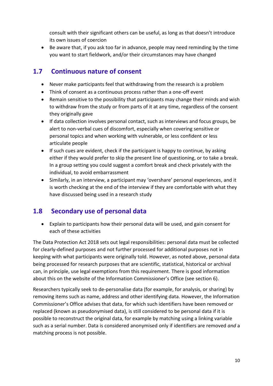consult with their significant others can be useful, as long as that doesn't introduce its own issues of coercion

• Be aware that, if you ask too far in advance, people may need reminding by the time you want to start fieldwork, and/or their circumstances may have changed

## <span id="page-12-0"></span>**1.7 Continuous nature of consent**

- Never make participants feel that withdrawing from the research is a problem
- Think of consent as a continuous process rather than a one-off event
- Remain sensitive to the possibility that participants may change their minds and wish to withdraw from the study or from parts of it at any time, regardless of the consent they originally gave
- If data collection involves personal contact, such as interviews and focus groups, be alert to non-verbal cues of discomfort, especially when covering sensitive or personal topics and when working with vulnerable, or less confident or less articulate people
- If such cues are evident, check if the participant is happy to continue, by asking either if they would prefer to skip the present line of questioning, or to take a break. In a group setting you could suggest a comfort break and check privately with the individual, to avoid embarrassment
- Similarly, in an interview, a participant may 'overshare' personal experiences, and it is worth checking at the end of the interview if they are comfortable with what they have discussed being used in a research study

## <span id="page-12-1"></span>**1.8 Secondary use of personal data**

• Explain to participants how their personal data will be used, and gain consent for each of these activities

The Data Protection Act 2018 sets out legal responsibilities: personal data must be collected for clearly-defined purposes and not further processed for additional purposes not in keeping with what participants were originally told. However, as noted above, personal data being processed for research purposes that are scientific, statistical, historical or archival can, in principle, use legal exemptions from this requirement. There is good information about this on the website of the Information Commissioner's Office (see section 6).

Researchers typically seek to de-personalise data (for example, for analysis, or sharing) by removing items such as name, address and other identifying data. However, the Information Commissioner's Office advises that data, for which such identifiers have been removed or replaced (known as pseudonymised data), is still considered to be personal data if it is possible to reconstruct the original data, for example by matching using a linking variable such as a serial number. Data is considered anonymised only if identifiers are removed *and* a matching process is not possible.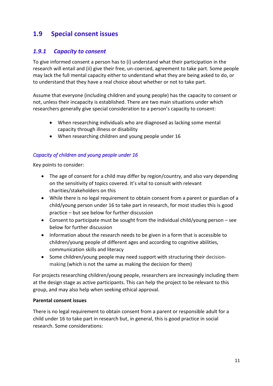## <span id="page-13-0"></span>**1.9 Special consent issues**

#### <span id="page-13-1"></span>*1.9.1 Capacity to consent*

To give informed consent a person has to (i) understand what their participation in the research will entail and (ii) give their free, un-coerced, agreement to take part. Some people may lack the full mental capacity either to understand what they are being asked to do, or to understand that they have a real choice about whether or not to take part.

Assume that everyone (including children and young people) has the capacity to consent or not, unless their incapacity is established. There are two main situations under which researchers generally give special consideration to a person's capacity to consent:

- When researching individuals who are diagnosed as lacking some mental capacity through illness or disability
- When researching children and young people under 16

#### *Capacity of children and young people under 16*

Key points to consider:

- The age of consent for a child may differ by region/country, and also vary depending on the sensitivity of topics covered. It's vital to consult with relevant charities/stakeholders on this
- While there is no legal requirement to obtain consent from a parent or guardian of a child/young person under 16 to take part in research, for most studies this is good practice – but see below for further discussion
- Consent to participate must be sought from the individual child/young person see below for further discussion
- Information about the research needs to be given in a form that is accessible to children/young people of different ages and according to cognitive abilities, communication skills and literacy
- Some children/young people may need support with structuring their decisionmaking (which is not the same as making the decision for them)

For projects researching children/young people, researchers are increasingly including them at the design stage as active participants. This can help the project to be relevant to this group, and may also help when seeking ethical approval.

#### **Parental consent issues**

There is no legal requirement to obtain consent from a parent or responsible adult for a child under 16 to take part in research but, in general, this is good practice in social research. Some considerations: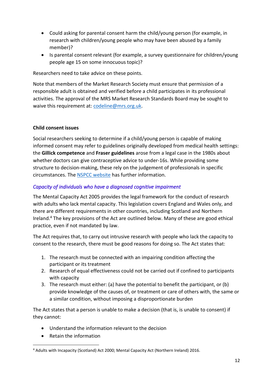- Could asking for parental consent harm the child/young person (for example, in research with children/young people who may have been abused by a family member)?
- Is parental consent relevant (for example, a survey questionnaire for children/young people age 15 on some innocuous topic)?

Researchers need to take advice on these points.

Note that members of the Market Research Society must ensure that permission of a responsible adult is obtained and verified before a child participates in its professional activities. The approval of the MRS Market Research Standards Board may be sought to waive this requirement at: [codeline@mrs.org.uk.](mailto:codeline@mrs.org.uk)

#### **Child consent issues**

Social researchers seeking to determine if a child/young person is capable of making informed consent may refer to guidelines originally developed from medical health settings: the **Gillick competence** and **Fraser guidelines** arose from a legal case in the 1980s about whether doctors can give contraceptive advice to under-16s. While providing some structure to decision-making, these rely on the judgement of professionals in specific circumstances. The [NSPCC website](https://learning.nspcc.org.uk/child-protection-system/gillick-competence-fraser-guidelines#heading-top) has further information.

#### *Capacity of individuals who have a diagnosed cognitive impairment*

The Mental Capacity Act 2005 provides the legal framework for the conduct of research with adults who lack mental capacity. This legislation covers England and Wales only, and there are different requirements in other countries, including Scotland and Northern Ireland. <sup>4</sup> The key provisions of the Act are outlined below. Many of these are good ethical practice, even if not mandated by law.

The Act requires that, to carry out intrusive research with people who lack the capacity to consent to the research, there must be good reasons for doing so. The Act states that:

- 1. The research must be connected with an impairing condition affecting the participant or its treatment
- 2. Research of equal effectiveness could not be carried out if confined to participants with capacity
- 3. The research must either: (a) have the potential to benefit the participant, or (b) provide knowledge of the causes of, or treatment or care of others with, the same or a similar condition, without imposing a disproportionate burden

The Act states that a person is unable to make a decision (that is, is unable to consent) if they cannot:

- Understand the information relevant to the decision
- Retain the information

<sup>4</sup> Adults with Incapacity (Scotland) Act 2000; Mental Capacity Act (Northern Ireland) 2016.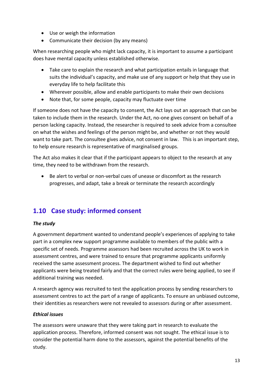- Use or weigh the information
- Communicate their decision (by any means)

When researching people who might lack capacity, it is important to assume a participant does have mental capacity unless established otherwise.

- Take care to explain the research and what participation entails in language that suits the individual's capacity, and make use of any support or help that they use in everyday life to help facilitate this
- Wherever possible, allow and enable participants to make their own decisions
- Note that, for some people, capacity may fluctuate over time

If someone does not have the capacity to consent, the Act lays out an approach that can be taken to include them in the research. Under the Act, no-one gives consent on behalf of a person lacking capacity. Instead, the researcher is required to seek advice from a consultee on what the wishes and feelings of the person might be, and whether or not they would want to take part. The consultee gives advice, not consent in law. This is an important step, to help ensure research is representative of marginalised groups.

The Act also makes it clear that if the participant appears to object to the research at any time, they need to be withdrawn from the research.

• Be alert to verbal or non-verbal cues of unease or discomfort as the research progresses, and adapt, take a break or terminate the research accordingly

## <span id="page-15-0"></span>**1.10 Case study: informed consent**

#### *The study*

A government department wanted to understand people's experiences of applying to take part in a complex new support programme available to members of the public with a specific set of needs. Programme assessors had been recruited across the UK to work in assessment centres, and were trained to ensure that programme applicants uniformly received the same assessment process. The department wished to find out whether applicants were being treated fairly and that the correct rules were being applied, to see if additional training was needed.

A research agency was recruited to test the application process by sending researchers to assessment centres to act the part of a range of applicants. To ensure an unbiased outcome, their identities as researchers were not revealed to assessors during or after assessment.

#### *Ethical issues*

The assessors were unaware that they were taking part in research to evaluate the application process. Therefore, informed consent was not sought. The ethical issue is to consider the potential harm done to the assessors, against the potential benefits of the study.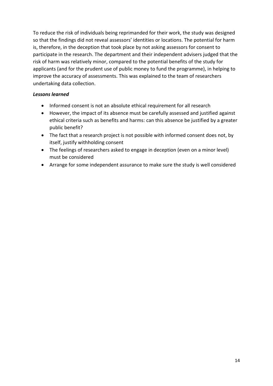To reduce the risk of individuals being reprimanded for their work, the study was designed so that the findings did not reveal assessors' identities or locations. The potential for harm is, therefore, in the deception that took place by not asking assessors for consent to participate in the research. The department and their independent advisers judged that the risk of harm was relatively minor, compared to the potential benefits of the study for applicants (and for the prudent use of public money to fund the programme), in helping to improve the accuracy of assessments. This was explained to the team of researchers undertaking data collection.

#### *Lessons learned*

- Informed consent is not an absolute ethical requirement for all research
- However, the impact of its absence must be carefully assessed and justified against ethical criteria such as benefits and harms: can this absence be justified by a greater public benefit?
- The fact that a research project is not possible with informed consent does not, by itself, justify withholding consent
- The feelings of researchers asked to engage in deception (even on a minor level) must be considered
- <span id="page-16-0"></span>• Arrange for some independent assurance to make sure the study is well considered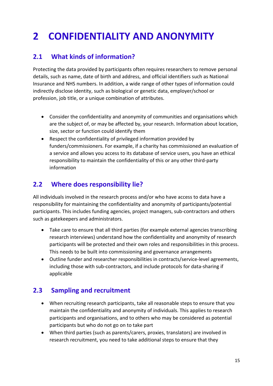## <span id="page-17-0"></span>**2 CONFIDENTIALITY AND ANONYMITY**

## <span id="page-17-1"></span>**2.1 What kinds of information?**

Protecting the data provided by participants often requires researchers to remove personal details, such as name, date of birth and address, and official identifiers such as National Insurance and NHS numbers. In addition, a wide range of other types of information could indirectly disclose identity, such as biological or genetic data, employer/school or profession, job title, or a unique combination of attributes.

- Consider the confidentiality and anonymity of communities and organisations which are the subject of, or may be affected by, your research. Information about location, size, sector or function could identify them
- Respect the confidentiality of privileged information provided by funders/commissioners. For example, if a charity has commissioned an evaluation of a service and allows you access to its database of service users, you have an ethical responsibility to maintain the confidentiality of this or any other third-party information

## <span id="page-17-2"></span>**2.2 Where does responsibility lie?**

All individuals involved in the research process and/or who have access to data have a responsibility for maintaining the confidentiality and anonymity of participants/potential participants. This includes funding agencies, project managers, sub-contractors and others such as gatekeepers and administrators.

- Take care to ensure that all third parties (for example external agencies transcribing research interviews) understand how the confidentiality and anonymity of research participants will be protected and their own roles and responsibilities in this process. This needs to be built into commissioning and governance arrangements
- Outline funder and researcher responsibilities in contracts/service-level agreements, including those with sub-contractors, and include protocols for data-sharing if applicable

## <span id="page-17-3"></span>**2.3 Sampling and recruitment**

- When recruiting research participants, take all reasonable steps to ensure that you maintain the confidentiality and anonymity of individuals. This applies to research participants and organisations, and to others who may be considered as potential participants but who do not go on to take part
- When third parties (such as parents/carers, proxies, translators) are involved in research recruitment, you need to take additional steps to ensure that they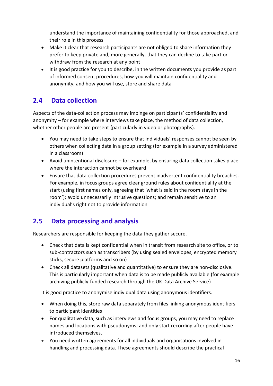understand the importance of maintaining confidentiality for those approached, and their role in this process

- Make it clear that research participants are not obliged to share information they prefer to keep private and, more generally, that they can decline to take part or withdraw from the research at any point
- It is good practice for you to describe, in the written documents you provide as part of informed consent procedures, how you will maintain confidentiality and anonymity, and how you will use, store and share data

## <span id="page-18-0"></span>**2.4 Data collection**

Aspects of the data-collection process may impinge on participants' confidentiality and anonymity – for example where interviews take place, the method of data collection, whether other people are present (particularly in video or photographs).

- You may need to take steps to ensure that individuals' responses cannot be seen by others when collecting data in a group setting (for example in a survey administered in a classroom)
- Avoid unintentional disclosure for example, by ensuring data collection takes place where the interaction cannot be overheard
- Ensure that data-collection procedures prevent inadvertent confidentiality breaches. For example, in focus groups agree clear ground rules about confidentiality at the start (using first names only, agreeing that 'what is said in the room stays in the room'); avoid unnecessarily intrusive questions; and remain sensitive to an individual's right not to provide information

## <span id="page-18-1"></span>**2.5 Data processing and analysis**

Researchers are responsible for keeping the data they gather secure.

- Check that data is kept confidential when in transit from research site to office, or to sub-contractors such as transcribers (by using sealed envelopes, encrypted memory sticks, secure platforms and so on)
- Check all datasets (qualitative and quantitative) to ensure they are non-disclosive. This is particularly important when data is to be made publicly available (for example archiving publicly-funded research through the UK Data Archive Service)

It is good practice to anonymise individual data using anonymous identifiers.

- When doing this, store raw data separately from files linking anonymous identifiers to participant identities
- For qualitative data, such as interviews and focus groups, you may need to replace names and locations with pseudonyms; and only start recording after people have introduced themselves.
- You need written agreements for all individuals and organisations involved in handling and processing data. These agreements should describe the practical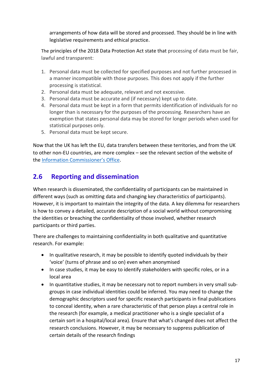arrangements of how data will be stored and processed. They should be in line with legislative requirements and ethical practice.

The principles of the 2018 Data Protection Act state that processing of data must be fair, lawful and transparent:

- 1. Personal data must be collected for specified purposes and not further processed in a manner incompatible with those purposes. This does not apply if the further processing is statistical.
- 2. Personal data must be adequate, relevant and not excessive.
- 3. Personal data must be accurate and (if necessary) kept up to date.
- 4. Personal data must be kept in a form that permits identification of individuals for no longer than is necessary for the purposes of the processing. Researchers have an exemption that states personal data may be stored for longer periods when used for statistical purposes only.
- 5. Personal data must be kept secure.

Now that the UK has left the EU, data transfers between these territories, and from the UK to other non-EU countries, are more complex – see the relevant section of the website of the [Information Commissioner's Office](https://ico.org.uk/for-organisations/guide-to-data-protection/guide-to-the-general-data-protection-regulation-gdpr/international-transfers-after-uk-exit/).

## <span id="page-19-0"></span>**2.6 Reporting and dissemination**

When research is disseminated, the confidentiality of participants can be maintained in different ways (such as omitting data and changing key characteristics of participants). However, it is important to maintain the integrity of the data. A key dilemma for researchers is how to convey a detailed, accurate description of a social world without compromising the identities or breaching the confidentiality of those involved, whether research participants or third parties.

There are challenges to maintaining confidentiality in both qualitative and quantitative research. For example:

- In qualitative research, it may be possible to identify quoted individuals by their 'voice' (turns of phrase and so on) even when anonymised
- In case studies, it may be easy to identify stakeholders with specific roles, or in a local area
- In quantitative studies, it may be necessary not to report numbers in very small subgroups in case individual identities could be inferred. You may need to change the demographic descriptors used for specific research participants in final publications to conceal identity, when a rare characteristic of that person plays a central role in the research (for example, a medical practitioner who is a single specialist of a certain sort in a hospital/local area). Ensure that what's changed does not affect the research conclusions. However, it may be necessary to suppress publication of certain details of the research findings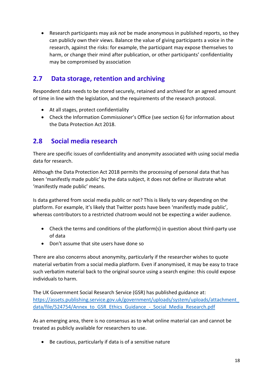• Research participants may ask *not* be made anonymous in published reports, so they can publicly own their views. Balance the value of giving participants a voice in the research, against the risks: for example, the participant may expose themselves to harm, or change their mind after publication, or other participants' confidentiality may be compromised by association

## <span id="page-20-0"></span>**2.7 Data storage, retention and archiving**

Respondent data needs to be stored securely, retained and archived for an agreed amount of time in line with the legislation, and the requirements of the research protocol.

- At all stages, protect confidentiality
- Check the Information Commissioner's Office (see section 6) for information about the Data Protection Act 2018.

## <span id="page-20-1"></span>**2.8 Social media research**

There are specific issues of confidentiality and anonymity associated with using social media data for research.

Although the Data Protection Act 2018 permits the processing of personal data that has been 'manifestly made public' by the data subject, it does not define or illustrate what 'manifestly made public' means.

Is data gathered from social media public or not? This is likely to vary depending on the platform. For example, it's likely that Twitter posts have been 'manifestly made public', whereas contributors to a restricted chatroom would not be expecting a wider audience.

- Check the terms and conditions of the platform(s) in question about third-party use of data
- Don't assume that site users have done so

There are also concerns about anonymity, particularly if the researcher wishes to quote material verbatim from a social media platform. Even if anonymised, it may be easy to trace such verbatim material back to the original source using a search engine: this could expose individuals to harm.

The UK Government Social Research Service (GSR) has published guidance at: [https://assets.publishing.service.gov.uk/government/uploads/system/uploads/attachment\\_](https://assets.publishing.service.gov.uk/government/uploads/system/uploads/attachment_data/file/524754/Annex_to_GSR_Ethics_Guidance_-_Social_Media_Research.pdf) [data/file/524754/Annex\\_to\\_GSR\\_Ethics\\_Guidance\\_-\\_Social\\_Media\\_Research.pdf](https://assets.publishing.service.gov.uk/government/uploads/system/uploads/attachment_data/file/524754/Annex_to_GSR_Ethics_Guidance_-_Social_Media_Research.pdf)

As an emerging area, there is no consensus as to what online material can and cannot be treated as publicly available for researchers to use.

• Be cautious, particularly if data is of a sensitive nature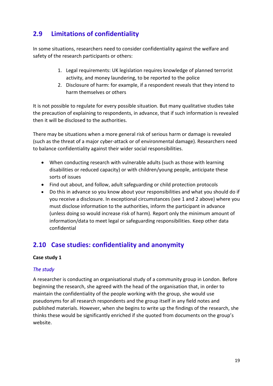## <span id="page-21-0"></span>**2.9 Limitations of confidentiality**

In some situations, researchers need to consider confidentiality against the welfare and safety of the research participants or others:

- 1. Legal requirements: UK legislation requires knowledge of planned terrorist activity, and money laundering, to be reported to the police
- 2. Disclosure of harm: for example, if a respondent reveals that they intend to harm themselves or others

It is not possible to regulate for every possible situation. But many qualitative studies take the precaution of explaining to respondents, in advance, that if such information is revealed then it will be disclosed to the authorities.

There may be situations when a more general risk of serious harm or damage is revealed (such as the threat of a major cyber-attack or of environmental damage). Researchers need to balance confidentiality against their wider social responsibilities.

- When conducting research with vulnerable adults (such as those with learning disabilities or reduced capacity) or with children/young people, anticipate these sorts of issues
- Find out about, and follow, adult safeguarding or child protection protocols
- Do this in advance so you know about your responsibilities and what you should do if you receive a disclosure. In exceptional circumstances (see 1 and 2 above) where you must disclose information to the authorities, inform the participant in advance (unless doing so would increase risk of harm). Report only the minimum amount of information/data to meet legal or safeguarding responsibilities. Keep other data confidential

## <span id="page-21-1"></span>**2.10 Case studies: confidentiality and anonymity**

#### **Case study 1**

#### *The study*

A researcher is conducting an organisational study of a community group in London. Before beginning the research, she agreed with the head of the organisation that, in order to maintain the confidentiality of the people working with the group, she would use pseudonyms for all research respondents and the group itself in any field notes and published materials. However, when she begins to write up the findings of the research, she thinks these would be significantly enriched if she quoted from documents on the group's website.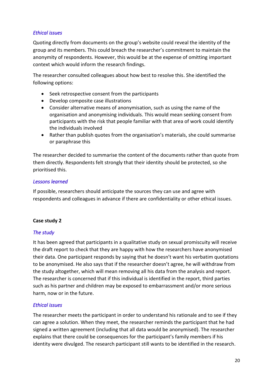#### *Ethical issues*

Quoting directly from documents on the group's website could reveal the identity of the group and its members. This could breach the researcher's commitment to maintain the anonymity of respondents. However, this would be at the expense of omitting important context which would inform the research findings.

The researcher consulted colleagues about how best to resolve this. She identified the following options:

- Seek retrospective consent from the participants
- Develop composite case illustrations
- Consider alternative means of anonymisation, such as using the name of the organisation and anonymising individuals. This would mean seeking consent from participants with the risk that people familiar with that area of work could identify the individuals involved
- Rather than publish quotes from the organisation's materials, she could summarise or paraphrase this

The researcher decided to summarise the content of the documents rather than quote from them directly. Respondents felt strongly that their identity should be protected, so she prioritised this.

#### *Lessons learned*

If possible, researchers should anticipate the sources they can use and agree with respondents and colleagues in advance if there are confidentiality or other ethical issues.

#### **Case study 2**

#### *The study*

It has been agreed that participants in a qualitative study on sexual promiscuity will receive the draft report to check that they are happy with how the researchers have anonymised their data. One participant responds by saying that he doesn't want his verbatim quotations to be anonymised. He also says that if the researcher doesn't agree, he will withdraw from the study altogether, which will mean removing all his data from the analysis and report. The researcher is concerned that if this individual is identified in the report, third parties such as his partner and children may be exposed to embarrassment and/or more serious harm, now or in the future.

#### *Ethical issues*

The researcher meets the participant in order to understand his rationale and to see if they can agree a solution. When they meet, the researcher reminds the participant that he had signed a written agreement (including that all data would be anonymised). The researcher explains that there could be consequences for the participant's family members if his identity were divulged. The research participant still wants to be identified in the research.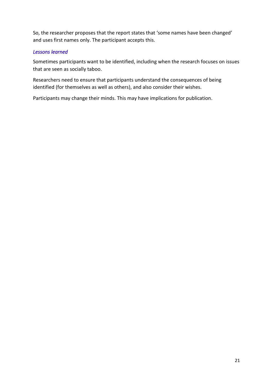So, the researcher proposes that the report states that 'some names have been changed' and uses first names only. The participant accepts this.

#### *Lessons learned*

Sometimes participants want to be identified, including when the research focuses on issues that are seen as socially taboo.

Researchers need to ensure that participants understand the consequences of being identified (for themselves as well as others), and also consider their wishes.

Participants may change their minds. This may have implications for publication.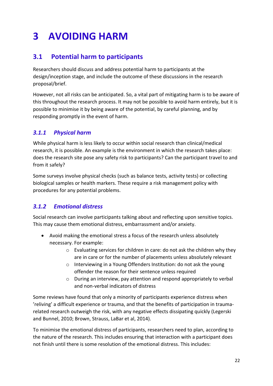## <span id="page-24-0"></span>**3 AVOIDING HARM**

## <span id="page-24-1"></span>**3.1 Potential harm to participants**

Researchers should discuss and address potential harm to participants at the design/inception stage, and include the outcome of these discussions in the research proposal/brief.

However, not all risks can be anticipated. So, a vital part of mitigating harm is to be aware of this throughout the research process. It may not be possible to avoid harm entirely, but it is possible to minimise it by being aware of the potential, by careful planning, and by responding promptly in the event of harm.

### <span id="page-24-2"></span>*3.1.1 Physical harm*

While physical harm is less likely to occur within social research than clinical/medical research, it is possible. An example is the environment in which the research takes place: does the research site pose any safety risk to participants? Can the participant travel to and from it safely?

Some surveys involve physical checks (such as balance tests, activity tests) or collecting biological samples or health markers. These require a risk management policy with procedures for any potential problems.

### <span id="page-24-3"></span>*3.1.2 Emotional distress*

Social research can involve participants talking about and reflecting upon sensitive topics. This may cause them emotional distress, embarrassment and/or anxiety.

- Avoid making the emotional stress a focus of the research unless absolutely necessary. For example:
	- o Evaluating services for children in care: do not ask the children why they are in care or for the number of placements unless absolutely relevant
	- o Interviewing in a Young Offenders Institution: do not ask the young offender the reason for their sentence unless required
	- o During an interview, pay attention and respond appropriately to verbal and non-verbal indicators of distress

Some reviews have found that only a minority of participants experience distress when 'reliving' a difficult experience or trauma, and that the benefits of participation in traumarelated research outweigh the risk, with any negative effects dissipating quickly (Legerski and Bunnel, 2010; Brown, Strauss, LaBar et al, 2014).

To minimise the emotional distress of participants, researchers need to plan, according to the nature of the research. This includes ensuring that interaction with a participant does not finish until there is some resolution of the emotional distress. This includes: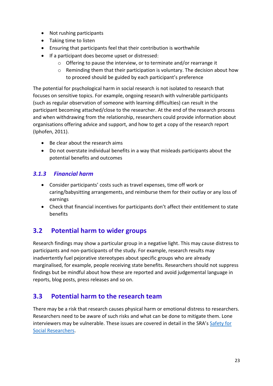- Not rushing participants
- Taking time to listen
- Ensuring that participants feel that their contribution is worthwhile
- If a participant does become upset or distressed:
	- o Offering to pause the interview, or to terminate and/or rearrange it
	- o Reminding them that their participation is voluntary. The decision about how to proceed should be guided by each participant's preference

The potential for psychological harm in social research is not isolated to research that focuses on sensitive topics. For example, ongoing research with vulnerable participants (such as regular observation of someone with learning difficulties) can result in the participant becoming attached/close to the researcher. At the end of the research process and when withdrawing from the relationship, researchers could provide information about organisations offering advice and support, and how to get a copy of the research report (Iphofen, 2011).

- Be clear about the research aims
- Do not overstate individual benefits in a way that misleads participants about the potential benefits and outcomes

### <span id="page-25-0"></span>*3.1.3 Financial harm*

- Consider participants' costs such as travel expenses, time off work or caring/babysitting arrangements, and reimburse them for their outlay or any loss of earnings
- Check that financial incentives for participants don't affect their entitlement to state benefits

## <span id="page-25-1"></span>**3.2 Potential harm to wider groups**

Research findings may show a particular group in a negative light. This may cause distress to participants and non-participants of the study. For example, research results may inadvertently fuel pejorative stereotypes about specific groups who are already marginalised, for example, people receiving state benefits. Researchers should not suppress findings but be mindful about how these are reported and avoid judgemental language in reports, blog posts, press releases and so on.

## <span id="page-25-2"></span>**3.3 Potential harm to the research team**

There may be a risk that research causes physical harm or emotional distress to researchers. Researchers need to be aware of such risks and what can be done to mitigate them. Lone interviewers may be vulnerable. These issues are covered in detail in the SRA's Safety for [Social Researchers.](https://www.the-sra.org.uk/SRA/Resources/Good-practice/SRA/Resources/Good-Practice.aspx)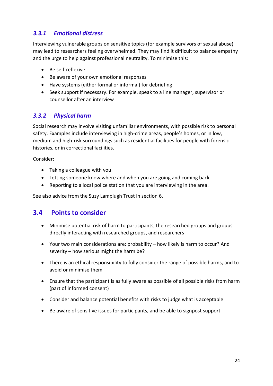## <span id="page-26-0"></span>*3.3.1 Emotional distress*

Interviewing vulnerable groups on sensitive topics (for example survivors of sexual abuse) may lead to researchers feeling overwhelmed. They may find it difficult to balance empathy and the urge to help against professional neutrality. To minimise this:

- Be self-reflexive
- Be aware of your own emotional responses
- Have systems (either formal or informal) for debriefing
- Seek support if necessary. For example, speak to a line manager, supervisor or counsellor after an interview

#### <span id="page-26-1"></span>*3.3.2 Physical harm*

Social research may involve visiting unfamiliar environments, with possible risk to personal safety. Examples include interviewing in high-crime areas, people's homes, or in low, medium and high-risk surroundings such as residential facilities for people with forensic histories, or in correctional facilities.

Consider:

- Taking a colleague with you
- Letting someone know where and when you are going and coming back
- Reporting to a local police station that you are interviewing in the area.

See also advice from the Suzy Lamplugh Trust in section 6.

## <span id="page-26-2"></span>**3.4 Points to consider**

- Minimise potential risk of harm to participants, the researched groups and groups directly interacting with researched groups, and researchers
- Your two main considerations are: probability how likely is harm to occur? And severity – how serious might the harm be?
- There is an ethical responsibility to fully consider the range of possible harms, and to avoid or minimise them
- Ensure that the participant is as fully aware as possible of all possible risks from harm (part of informed consent)
- Consider and balance potential benefits with risks to judge what is acceptable
- Be aware of sensitive issues for participants, and be able to signpost support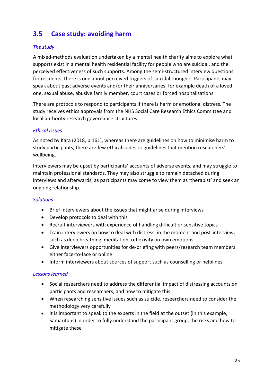## <span id="page-27-0"></span>**3.5 Case study: avoiding harm**

#### *The study*

A mixed-methods evaluation undertaken by a mental health charity aims to explore what supports exist in a mental health residential facility for people who are suicidal, and the perceived effectiveness of such supports. Among the semi-structured interview questions for residents, there is one about perceived triggers of suicidal thoughts. Participants may speak about past adverse events and/or their anniversaries, for example death of a loved one, sexual abuse, abusive family member, court cases or forced hospitalisations.

There are protocols to respond to participants if there is harm or emotional distress. The study receives ethics approvals from the NHS Social Care Research Ethics Committee and local authority research governance structures.

#### *Ethical issues*

As noted by Kara (2018, p.161), whereas there are guidelines on how to minimise harm to study participants, there are few ethical codes or guidelines that mention researchers' wellbeing.

Interviewers may be upset by participants' accounts of adverse events, and may struggle to maintain professional standards. They may also struggle to remain detached during interviews and afterwards, as participants may come to view them as 'therapist' and seek an ongoing relationship.

#### *Solutions*

- Brief interviewers about the issues that might arise during interviews
- Develop protocols to deal with this
- Recruit interviewers with experience of handling difficult or sensitive topics
- Train interviewers on how to deal with distress, in the moment and post-interview, such as deep breathing, meditation, reflexivity on own emotions
- Give interviewers opportunities for de-briefing with peers/research team members either face-to-face or online
- Inform interviewers about sources of support such as counselling or helplines

#### *Lessons learned*

- Social researchers need to address the differential impact of distressing accounts on participants and researchers, and how to mitigate this
- When researching sensitive issues such as suicide, researchers need to consider the methodology very carefully
- It is important to speak to the experts in the field at the outset (in this example, Samaritans) in order to fully understand the participant group, the risks and how to mitigate these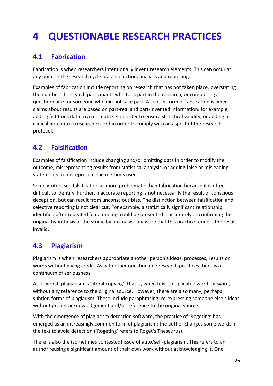## <span id="page-28-0"></span>**4 QUESTIONABLE RESEARCH PRACTICES**

## <span id="page-28-1"></span>**4.1 Fabrication**

Fabrication is when researchers intentionally invent research elements. This can occur at any point in the research cycle: data collection, analysis and reporting.

Examples of fabrication include reporting on research that has not taken place, overstating the number of research participants who took part in the research, or completing a questionnaire for someone who did not take part. A subtler form of fabrication is when claims about results are based on part-real and part-invented information: for example, adding fictitious data to a real data set in order to ensure statistical validity, or adding a clinical note into a research record in order to comply with an aspect of the research protocol.

## <span id="page-28-2"></span>**4.2 Falsification**

Examples of falsification include changing and/or omitting data in order to modify the outcome, misrepresenting results from statistical analysis, or adding false or misleading statements to misrepresent the methods used.

Some writers see falsification as more problematic than fabrication because it is often difficult to identify. Further, inaccurate reporting is not necessarily the result of conscious deception, but can result from unconscious bias. The distinction between falsification and selective reporting is not clear cut. For example, a statistically significant relationship identified after repeated 'data mining' could be presented inaccurately as confirming the original hypothesis of the study, by an analyst unaware that this practice renders the result invalid.

## <span id="page-28-3"></span>**4.3 Plagiarism**

Plagiarism is when researchers appropriate another person's ideas, processes, results or words without giving credit. As with other questionable research practices there is a continuum of seriousness.

At its worst, plagiarism is 'literal copying', that is, when text is duplicated word for word, without any reference to the original source. However, there are also many, perhaps subtler, forms of plagiarism. These include paraphrasing: re-expressing someone else's ideas without proper acknowledgement and/or reference to the original source.

With the emergence of plagiarism detection software, the practice of 'Rogeting' has emerged as an increasingly common form of plagiarism: the author changes some words in the text to avoid detection ('Rogeting' refers to Roget's Thesaurus).

There is also the (sometimes contested) issue of auto/self-plagiarism. This refers to an author reusing a significant amount of their own work without acknowledging it. One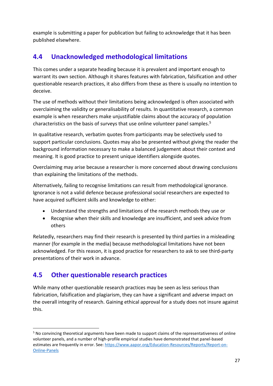example is submitting a paper for publication but failing to acknowledge that it has been published elsewhere.

## <span id="page-29-0"></span>**4.4 Unacknowledged methodological limitations**

This comes under a separate heading because it is prevalent and important enough to warrant its own section. Although it shares features with fabrication, falsification and other questionable research practices, it also differs from these as there is usually no intention to deceive.

The use of methods without their limitations being acknowledged is often associated with overclaiming the validity or generalisability of results. In quantitative research, a common example is when researchers make unjustifiable claims about the accuracy of population characteristics on the basis of surveys that use online volunteer panel samples. 5

In qualitative research, verbatim quotes from participants may be selectively used to support particular conclusions. Quotes may also be presented without giving the reader the background information necessary to make a balanced judgement about their context and meaning. It is good practice to present unique identifiers alongside quotes.

Overclaiming may arise because a researcher is more concerned about drawing conclusions than explaining the limitations of the methods.

Alternatively, failing to recognise limitations can result from methodological ignorance. Ignorance is not a valid defence because professional social researchers are expected to have acquired sufficient skills and knowledge to either:

- Understand the strengths and limitations of the research methods they use or
- Recognise when their skills and knowledge are insufficient, and seek advice from others

Relatedly, researchers may find their research is presented by third parties in a misleading manner (for example in the media) because methodological limitations have not been acknowledged. For this reason, it is good practice for researchers to ask to see third-party presentations of their work in advance.

## <span id="page-29-1"></span>**4.5 Other questionable research practices**

While many other questionable research practices may be seen as less serious than fabrication, falsification and plagiarism, they can have a significant and adverse impact on the overall integrity of research. Gaining ethical approval for a study does not insure against this.

<sup>&</sup>lt;sup>5</sup> No convincing theoretical arguments have been made to support claims of the representativeness of online volunteer panels, and a number of high-profile empirical studies have demonstrated that panel-based estimates are frequently in error. See: [https://www.aapor.org/Education-Resources/Reports/Report-on-](https://www.aapor.org/Education-Resources/Reports/Report-on-Online-Panels)[Online-Panels](https://www.aapor.org/Education-Resources/Reports/Report-on-Online-Panels)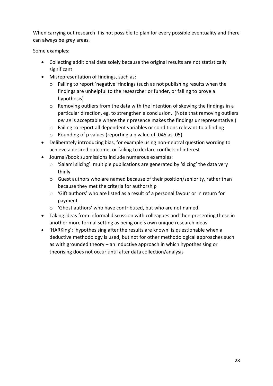When carrying out research it is not possible to plan for every possible eventuality and there can always be grey areas.

Some examples:

- Collecting additional data solely because the original results are not statistically significant
- Misrepresentation of findings, such as:
	- o Failing to report 'negative' findings (such as not publishing results when the findings are unhelpful to the researcher or funder, or failing to prove a hypothesis)
	- o Removing outliers from the data with the intention of skewing the findings in a particular direction, eg. to strengthen a conclusion. (Note that removing outliers *per se* is acceptable where their presence makes the findings unrepresentative.)
	- o Failing to report all dependent variables or conditions relevant to a finding
	- o Rounding of p values (reporting a p value of .045 as .05)
- Deliberately introducing bias, for example using non-neutral question wording to achieve a desired outcome, or failing to declare conflicts of interest
- Journal/book submissions include numerous examples:
	- o 'Salami slicing': multiple publications are generated by 'slicing' the data very thinly
	- $\circ$  Guest authors who are named because of their position/seniority, rather than because they met the criteria for authorship
	- $\circ$  'Gift authors' who are listed as a result of a personal favour or in return for payment
	- o 'Ghost authors' who have contributed, but who are not named
- Taking ideas from informal discussion with colleagues and then presenting these in another more formal setting as being one's own unique research ideas
- <span id="page-30-0"></span>• 'HARKing': 'hypothesising after the results are known' is questionable when a deductive methodology is used, but not for other methodological approaches such as with grounded theory – an inductive approach in which hypothesising or theorising does not occur until after data collection/analysis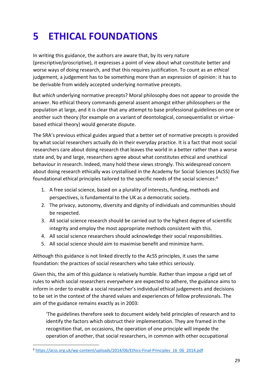## <span id="page-31-0"></span>**5 ETHICAL FOUNDATIONS**

In writing this guidance, the authors are aware that, by its very nature (prescriptive/proscriptive), it expresses a point of view about what constitute better and worse ways of doing research, and that this requires justification. To count as an *ethical* judgement, a judgement has to be something more than an expression of opinion: it has to be derivable from widely accepted underlying normative precepts.

But *which* underlying normative precepts? Moral philosophy does not appear to provide the answer. No ethical theory commands general assent amongst either philosophers or the population at large, and it is clear that any attempt to base professional guidelines on one or another such theory (for example on a variant of deontological, consequentialist or virtuebased ethical theory) would generate dispute.

The SRA's previous ethical guides argued that a better set of normative precepts is provided by what social researchers actually do in their everyday practice. It is a fact that most social researchers care about doing research that leaves the world in a better rather than a worse state and, by and large, researchers agree about what constitutes ethical and unethical behaviour in research. Indeed, many hold these views strongly. This widespread concern about doing research ethically was crystallised in the Academy for Social Sciences (AcSS) five foundational ethical principles tailored to the specific needs of the social sciences: 6

- 1. A free social science, based on a plurality of interests, funding, methods and perspectives, is fundamental to the UK as a democratic society.
- 2. The privacy, autonomy, diversity and dignity of individuals and communities should be respected.
- 3. All social science research should be carried out to the highest degree of scientific integrity and employ the most appropriate methods consistent with this.
- 4. All social science researchers should acknowledge their social responsibilities.
- 5. All social science should aim to maximise benefit and minimize harm.

Although this guidance is not linked directly to the AcSS principles, it uses the same foundation: the practices of social researchers who take ethics seriously.

Given this, the aim of this guidance is relatively humble. Rather than impose a rigid set of rules to which social researchers everywhere are expected to adhere, the guidance aims to inform in order to enable a social researcher's individual ethical judgements and decisions to be set in the context of the shared values and experiences of fellow professionals. The aim of the guidance remains exactly as in 2003:

'The guidelines therefore seek to document widely held principles of research and to identify the factors which obstruct their implementation. They are framed in the recognition that, on occasions, the operation of one principle will impede the operation of another, that social researchers, in common with other occupational

<sup>6</sup> [https://acss.org.uk/wp-content/uploads/2014/06/Ethics-Final-Principles\\_16\\_06\\_2014.pdf](https://acss.org.uk/wp-content/uploads/2014/06/Ethics-Final-Principles_16_06_2014.pdf)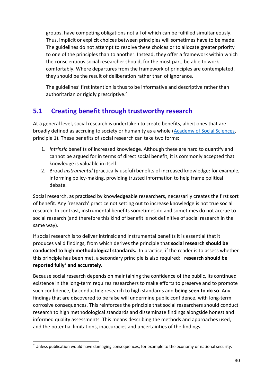groups, have competing obligations not all of which can be fulfilled simultaneously. Thus, implicit or explicit choices between principles will sometimes have to be made. The guidelines do not attempt to resolve these choices or to allocate greater priority to one of the principles than to another. Instead, they offer a framework within which the conscientious social researcher should, for the most part, be able to work comfortably. Where departures from the framework of principles are contemplated, they should be the result of deliberation rather than of ignorance.

The guidelines' first intention is thus to be informative and descriptive rather than authoritarian or rigidly prescriptive.'

## <span id="page-32-0"></span>**5.1 Creating benefit through trustworthy research**

At a general level, social research is undertaken to create benefits, albeit ones that are broadly defined as accruing to society or humanity as a whole [\(Academy of Social Sciences,](https://www.acss.org.uk/developing-generic-ethics-principles-social-science/academy-adopts-five-ethical-principles-for-social-science-research/) principle 1). These benefits of social research can take two forms:

- 1. *Intrinsic* benefits of increased knowledge. Although these are hard to quantify and cannot be argued for in terms of direct social benefit, it is commonly accepted that knowledge is valuable in itself.
- 2. Broad *instrumental* (practically useful) benefits of increased knowledge: for example, informing policy-making, providing trusted information to help frame political debate.

Social research, as practised by knowledgeable researchers, necessarily creates the first sort of benefit. Any 'research' practice not setting out to increase knowledge is not true social research. In contrast, instrumental benefits sometimes do and sometimes do not accrue to social research (and therefore this kind of benefit is not definitive of social research in the same way).

If social research is to deliver intrinsic and instrumental benefits it is essential that it produces valid findings, from which derives the principle that **social research should be conducted to high methodological standards.** In practice, if the reader is to assess whether this principle has been met, a secondary principle is also required: **research should be reported fully<sup>7</sup> and accurately.**

Because social research depends on maintaining the confidence of the public, its continued existence in the long-term requires researchers to make efforts to preserve and to promote such confidence, by conducting research to high standards and **being seen to do so**. Any findings that are discovered to be false will undermine public confidence, with long-term corrosive consequences. This reinforces the principle that social researchers should conduct research to high methodological standards and disseminate findings alongside honest and informed quality assessments. This means describing the methods and approaches used, and the potential limitations, inaccuracies and uncertainties of the findings.

 $7$  Unless publication would have damaging consequences, for example to the economy or national security.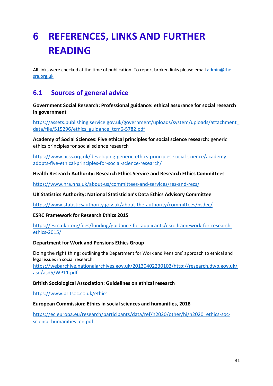## <span id="page-33-0"></span>**6 REFERENCES, LINKS AND FURTHER READING**

All links were checked at the time of publication. To report broken links please emai[l admin@the](mailto:admin@the-sra.org.uk)[sra.org.uk](mailto:admin@the-sra.org.uk)

## <span id="page-33-1"></span>**6.1 Sources of general advice**

**Government Social Research: Professional guidance: ethical assurance for social research in government**

[https://assets.publishing.service.gov.uk/government/uploads/system/uploads/attachment\\_](https://assets.publishing.service.gov.uk/government/uploads/system/uploads/attachment_data/file/515296/ethics_guidance_tcm6-5782.pdf) [data/file/515296/ethics\\_guidance\\_tcm6-5782.pdf](https://assets.publishing.service.gov.uk/government/uploads/system/uploads/attachment_data/file/515296/ethics_guidance_tcm6-5782.pdf)

**Academy of Social Sciences: Five ethical principles for social science research:** generic ethics principles for social science research

[https://www.acss.org.uk/developing-generic-ethics-principles-social-science/academy](https://www.acss.org.uk/developing-generic-ethics-principles-social-science/academy-adopts-five-ethical-principles-for-social-science-research/)[adopts-five-ethical-principles-for-social-science-research/](https://www.acss.org.uk/developing-generic-ethics-principles-social-science/academy-adopts-five-ethical-principles-for-social-science-research/)

**Health Research Authority: Research Ethics Service and Research Ethics Committees**

<https://www.hra.nhs.uk/about-us/committees-and-services/res-and-recs/>

**UK Statistics Authority: National Statistician's Data Ethics Advisory Committee**

<https://www.statisticsauthority.gov.uk/about-the-authority/committees/nsdec/>

#### **ESRC Framework for Research Ethics 2015**

[https://esrc.ukri.org/files/funding/guidance-for-applicants/esrc-framework-for-research](https://esrc.ukri.org/files/funding/guidance-for-applicants/esrc-framework-for-research-ethics-2015/)[ethics-2015/](https://esrc.ukri.org/files/funding/guidance-for-applicants/esrc-framework-for-research-ethics-2015/)

#### **Department for Work and Pensions Ethics Group**

Doing the right thing**:** outlining the Department for Work and Pensions' approach to ethical and legal issues in social research.

[https://webarchive.nationalarchives.gov.uk/20130402230103/http://research.dwp.gov.uk/](https://webarchive.nationalarchives.gov.uk/20130402230103/http:/research.dwp.gov.uk/asd/asd5/WP11.pdf) [asd/asd5/WP11.pdf](https://webarchive.nationalarchives.gov.uk/20130402230103/http:/research.dwp.gov.uk/asd/asd5/WP11.pdf)

#### **British Sociological Association: Guidelines on ethical research**

<https://www.britsoc.co.uk/ethics>

#### **European Commission: Ethics in social sciences and humanities, 2018**

[https://ec.europa.eu/research/participants/data/ref/h2020/other/hi/h2020\\_ethics-soc](https://ec.europa.eu/research/participants/data/ref/h2020/other/hi/h2020_ethics-soc-science-humanities_en.pdf)[science-humanities\\_en.pdf](https://ec.europa.eu/research/participants/data/ref/h2020/other/hi/h2020_ethics-soc-science-humanities_en.pdf)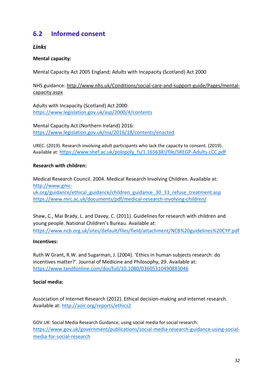## <span id="page-34-0"></span>**6.2 Informed consent**

#### *Links*

#### **Mental capacity:**

Mental Capacity Act 2005 England; Adults with Incapacity (Scotland) Act 2000

#### NHS guidance: [http://www.nhs.uk/Conditions/social-care-and-support-guide/Pages/mental](http://www.nhs.uk/Conditions/social-care-and-support-guide/Pages/mental-capacity.aspx)[capacity.aspx](http://www.nhs.uk/Conditions/social-care-and-support-guide/Pages/mental-capacity.aspx)

Adults with Incapacity (Scotland) Act 2000: <https://www.legislation.gov.uk/asp/2000/4/contents>

Mental Capacity Act (Northern Ireland) 2016: <https://www.legislation.gov.uk/nia/2016/18/contents/enacted>

UREC. (2019). Research involving adult participants who lack the capacity to consent. (2019). Available at: [https://www.shef.ac.uk/polopoly\\_fs/1.165638!/file/SREGP-Adults-LCC.pdf](https://www.shef.ac.uk/polopoly_fs/1.165638!/file/SREGP-Adults-LCC.pdf)

#### **Research with children:**

Medical Research Council. 2004. Medical Research Involving Children. Available at: [http://www.gmc](http://www.gmc-uk.org/guidance/ethical_guidance/children_guidance_30_33_refuse_treatment.asp)[uk.org/guidance/ethical\\_guidance/children\\_guidance\\_30\\_33\\_refuse\\_treatment.asp](http://www.gmc-uk.org/guidance/ethical_guidance/children_guidance_30_33_refuse_treatment.asp) <https://www.mrc.ac.uk/documents/pdf/medical-research-involving-children/>

Shaw, C., Mai Brady, L. and Davey, C. (2011). Guidelines for research with children and young people. National Children's Bureau. Available at: <https://www.ncb.org.uk/sites/default/files/field/attachment/NCB%20guidelines%20CYP.pdf>

#### **Incentives:**

Ruth W Grant, R.W. and Sugarman, J. (2004). 'Ethics in human subjects research: do incentives matter?'. Journal of Medicine and Philosophy, 29. Available at: <https://www.tandfonline.com/doi/full/10.1080/03605310490883046>

#### **Social media:**

Association of Internet Research (2012). Ethical decision-making and internet research. Available at:<http://aoir.org/reports/ethics2>

GOV.UK: Social Media Research Guidance; using social media for social research: [https://www.gov.uk/government/publications/social-media-research-guidance-using-social](https://www.gov.uk/government/publications/social-media-research-guidance-using-social-media-for-social-research)[media-for-social-research](https://www.gov.uk/government/publications/social-media-research-guidance-using-social-media-for-social-research)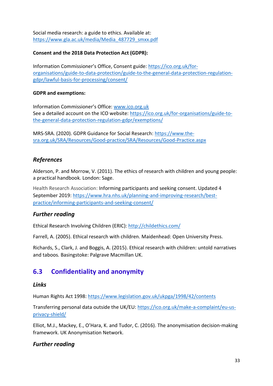Social media research: a guide to ethics. Available at: [https://www.gla.ac.uk/media/Media\\_487729\\_smxx.pdf](https://www.gla.ac.uk/media/Media_487729_smxx.pdf)

#### **Consent and the 2018 Data Protection Act (GDPR):**

Information Commissioner's Office, Consent guide: [https://ico.org.uk/for](https://ico.org.uk/for-organisations/guide-to-data-protection/guide-to-the-general-data-protection-regulation-gdpr/lawful-basis-for-processing/consent/)[organisations/guide-to-data-protection/guide-to-the-general-data-protection-regulation](https://ico.org.uk/for-organisations/guide-to-data-protection/guide-to-the-general-data-protection-regulation-gdpr/lawful-basis-for-processing/consent/)[gdpr/lawful-basis-for-processing/consent/](https://ico.org.uk/for-organisations/guide-to-data-protection/guide-to-the-general-data-protection-regulation-gdpr/lawful-basis-for-processing/consent/)

#### **GDPR and exemptions:**

Information Commissioner's Office: [www.ico.org.uk](http://www.ico.org.uk/) See a detailed account on the ICO website: [https://ico.org.uk/for-organisations/guide-to](https://ico.org.uk/for-organisations/guide-to-the-general-data-protection-regulation-gdpr/exemptions/)[the-general-data-protection-regulation-gdpr/exemptions/](https://ico.org.uk/for-organisations/guide-to-the-general-data-protection-regulation-gdpr/exemptions/)

MRS-SRA. (2020). GDPR Guidance for Social Research: [https://www.the](https://www.the-sra.org.uk/SRA/Resources/Good-practice/SRA/Resources/Good-Practice.aspx)[sra.org.uk/SRA/Resources/Good-practice/SRA/Resources/Good-Practice.aspx](https://www.the-sra.org.uk/SRA/Resources/Good-practice/SRA/Resources/Good-Practice.aspx)

#### *References*

Alderson, P. and Morrow, V. (2011). The ethics of research with children and young people: a practical handbook*.* London: Sage.

Health Research Association: Informing participants and seeking consent. Updated 4 September 2019: [https://www.hra.nhs.uk/planning-and-improving-research/best](https://www.hra.nhs.uk/planning-and-improving-research/best-practice/informing-participants-and-seeking-consent/)[practice/informing-participants-and-seeking-consent/](https://www.hra.nhs.uk/planning-and-improving-research/best-practice/informing-participants-and-seeking-consent/)

#### *Further reading*

Ethical Research Involving Children (ERIC): <http://childethics.com/>

Farrell, A. (2005). Ethical research with children. Maidenhead: Open University Press.

Richards, S., Clark, J. and Boggis, A. (2015). Ethical research with children: untold narratives and taboos*.* Basingstoke: Palgrave Macmillan UK.

## <span id="page-35-0"></span>**6.3 Confidentiality and anonymity**

#### *Links*

Human Rights Act 1998: <https://www.legislation.gov.uk/ukpga/1998/42/contents>

Transferring personal data outside the UK/EU: [https://ico.org.uk/make-a-complaint/eu-us](https://ico.org.uk/make-a-complaint/eu-us-privacy-shield/)[privacy-shield/](https://ico.org.uk/make-a-complaint/eu-us-privacy-shield/)

Elliot, M.J., Mackey, E., O'Hara, K. and Tudor, C. (2016). The anonymisation decision-making framework. UK Anonymisation Network.

#### *Further reading*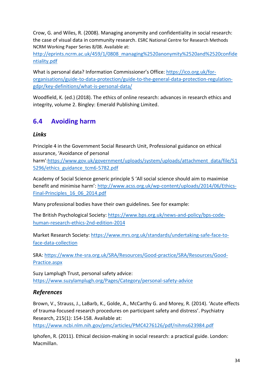Crow, G. and Wiles, R. (2008). Managing anonymity and confidentiality in social research: the case of visual data in community research. ESRC National Centre for Research Methods NCRM Working Paper Series 8/08. Available at:

[http://eprints.ncrm.ac.uk/459/1/0808\\_managing%2520anonymity%2520and%2520confide](http://eprints.ncrm.ac.uk/459/1/0808_managing%2520anonymity%2520and%2520confidentiality.pdf) [ntiality.pdf](http://eprints.ncrm.ac.uk/459/1/0808_managing%2520anonymity%2520and%2520confidentiality.pdf)

What is personal data? Information Commissioner's Office: [https://ico.org.uk/for](https://ico.org.uk/for-organisations/guide-to-data-protection/guide-to-the-general-data-protection-regulation-gdpr/key-definitions/what-is-personal-data/)[organisations/guide-to-data-protection/guide-to-the-general-data-protection-regulation](https://ico.org.uk/for-organisations/guide-to-data-protection/guide-to-the-general-data-protection-regulation-gdpr/key-definitions/what-is-personal-data/)[gdpr/key-definitions/what-is-personal-data/](https://ico.org.uk/for-organisations/guide-to-data-protection/guide-to-the-general-data-protection-regulation-gdpr/key-definitions/what-is-personal-data/)

Woodfield, K. (ed.) (2018). The ethics of online research: advances in research ethics and integrity, volume 2. Bingley: Emerald Publishing Limited.

## <span id="page-36-0"></span>**6.4 Avoiding harm**

#### *Links*

Principle 4 in the Government Social Research Unit, Professional guidance on ethical assurance, 'Avoidance of personal harm'[:https://www.gov.uk/government/uploads/system/uploads/attachment\\_data/file/51](https://www.gov.uk/government/uploads/system/uploads/attachment_data/file/515296/ethics_guidance_tcm6-5782.pdf) [5296/ethics\\_guidance\\_tcm6-5782.pdf](https://www.gov.uk/government/uploads/system/uploads/attachment_data/file/515296/ethics_guidance_tcm6-5782.pdf)

Academy of Social Science generic principle 5 'All social science should aim to maximise benefit and minimise harm': [http://www.acss.org.uk/wp-content/uploads/2014/06/Ethics-](http://www.acss.org.uk/wp-content/uploads/2014/06/Ethics-Final-Principles_16_06_2014.pdf)[Final-Principles\\_16\\_06\\_2014.pdf](http://www.acss.org.uk/wp-content/uploads/2014/06/Ethics-Final-Principles_16_06_2014.pdf)

Many professional bodies have their own guidelines. See for example:

The British Psychological Society: [https://www.bps.org.uk/news-and-policy/bps-code](https://www.bps.org.uk/news-and-policy/bps-code-human-research-ethics-2nd-edition-2014)[human-research-ethics-2nd-edition-2014](https://www.bps.org.uk/news-and-policy/bps-code-human-research-ethics-2nd-edition-2014)

Market Research Society: [https://www.mrs.org.uk/standards/undertaking-safe-face-to](https://www.mrs.org.uk/standards/undertaking-safe-face-to-face-data-collection)[face-data-collection](https://www.mrs.org.uk/standards/undertaking-safe-face-to-face-data-collection)

SRA: [https://www.the-sra.org.uk/SRA/Resources/Good-practice/SRA/Resources/Good-](https://www.the-sra.org.uk/SRA/Resources/Good-practice/SRA/Resources/Good-Practice.aspx)[Practice.aspx](https://www.the-sra.org.uk/SRA/Resources/Good-practice/SRA/Resources/Good-Practice.aspx)

Suzy Lamplugh Trust, personal safety advice: <https://www.suzylamplugh.org/Pages/Category/personal-safety-advice>

### *References*

Brown, V., Strauss, J., LaBarb, K., Golde, A., McCarthy G. and Morey, R. (2014). 'Acute effects of trauma-focused research procedures on participant safety and distress'. Psychiatry Research, 215(1): 154-158. Available at:

<https://www.ncbi.nlm.nih.gov/pmc/articles/PMC4276126/pdf/nihms623984.pdf>

Iphofen, R. (2011). Ethical decision-making in social research: a practical guide. London: Macmillan.